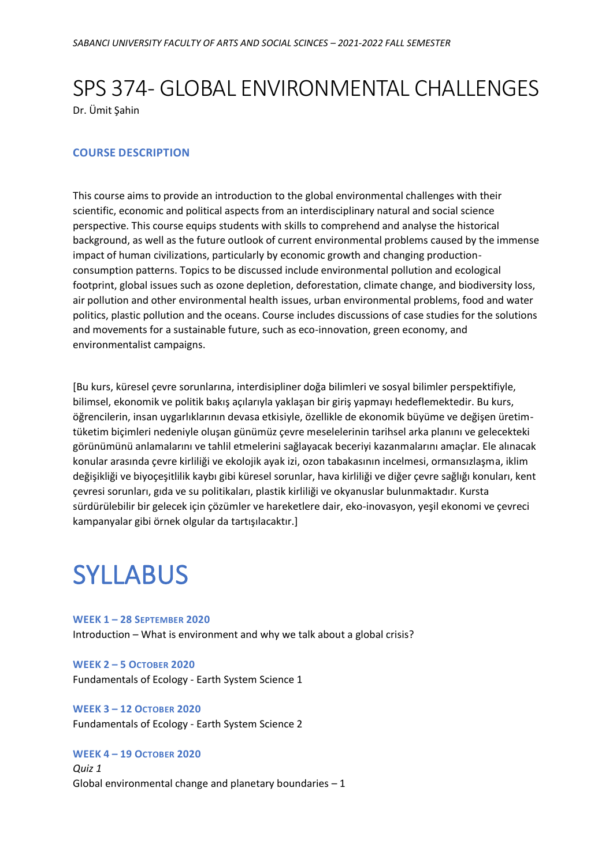## SPS 374 - GLOBAL ENVIRONMENTAL CHALLENGES

Dr. Ümit Şahin

## **COURSE DESCRIPTION**

This course aims to provide an introduction to the global environmental challenges with their scientific, economic and political aspects from an interdisciplinary natural and social science perspective. This course equips students with skills to comprehend and analyse the historical background, as well as the future outlook of current environmental problems caused by the immense impact of human civilizations, particularly by economic growth and changing productionconsumption patterns. Topics to be discussed include environmental pollution and ecological footprint, global issues such as ozone depletion, deforestation, climate change, and biodiversity loss, air pollution and other environmental health issues, urban environmental problems, food and water politics, plastic pollution and the oceans. Course includes discussions of case studies for the solutions and movements for a sustainable future, such as eco-innovation, green economy, and environmentalist campaigns.

[Bu kurs, küresel çevre sorunlarına, interdisipliner doğa bilimleri ve sosyal bilimler perspektifiyle, bilimsel, ekonomik ve politik bakış açılarıyla yaklaşan bir giriş yapmayı hedeflemektedir. Bu kurs, öğrencilerin, insan uygarlıklarının devasa etkisiyle, özellikle de ekonomik büyüme ve değişen üretimtüketim biçimleri nedeniyle oluşan günümüz çevre meselelerinin tarihsel arka planını ve gelecekteki görünümünü anlamalarını ve tahlil etmelerini sağlayacak beceriyi kazanmalarını amaçlar. Ele alınacak konular arasında çevre kirliliği ve ekolojik ayak izi, ozon tabakasının incelmesi, ormansızlaşma, iklim değişikliği ve biyoçeşitlilik kaybı gibi küresel sorunlar, hava kirliliği ve diğer çevre sağlığı konuları, kent çevresi sorunları, gıda ve su politikaları, plastik kirliliği ve okyanuslar bulunmaktadır. Kursta sürdürülebilir bir gelecek için çözümler ve hareketlere dair, eko-inovasyon, yeşil ekonomi ve çevreci kampanyalar gibi örnek olgular da tartışılacaktır.]

# **SYLLABUS**

**WEEK 1 – 28 SEPTEMBER 2020** Introduction – What is environment and why we talk about a global crisis?

**WEEK 2 – 5 OCTOBER 2020** Fundamentals of Ecology - Earth System Science 1

#### **WEEK 3 – 12 OCTOBER 2020**

Fundamentals of Ecology - Earth System Science 2

## **WEEK 4 – 19 OCTOBER 2020**

*Quiz 1* Global environmental change and planetary boundaries  $-1$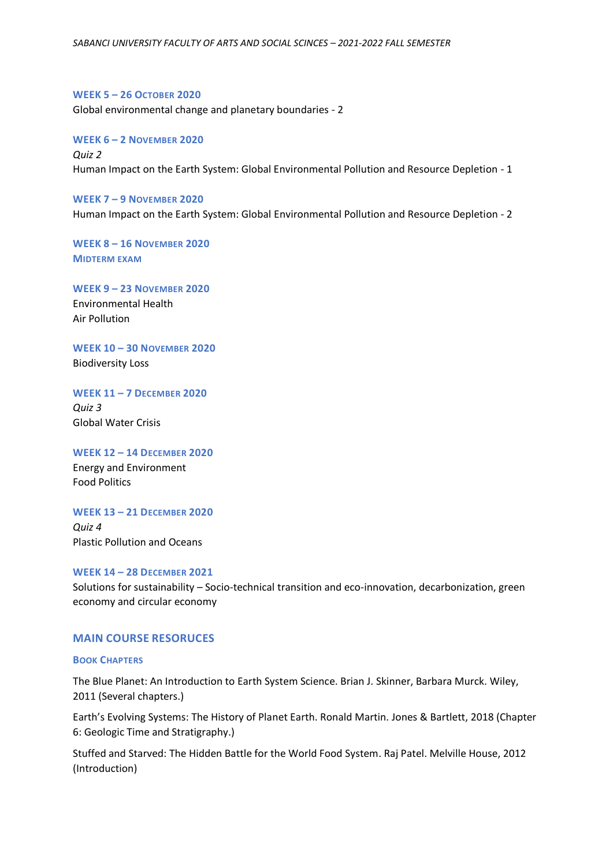**WEEK 5 – 26 OCTOBER 2020** Global environmental change and planetary boundaries - 2

**WEEK 6 – 2 NOVEMBER 2020** *Quiz 2* Human Impact on the Earth System: Global Environmental Pollution and Resource Depletion - 1

**WEEK 7 – 9 NOVEMBER 2020** Human Impact on the Earth System: Global Environmental Pollution and Resource Depletion - 2

**WEEK 8 – 16 NOVEMBER 2020 MIDTERM EXAM**

**WEEK 9 – 23 NOVEMBER 2020** Environmental Health Air Pollution

**WEEK 10 – 30 NOVEMBER 2020** Biodiversity Loss

**WEEK 11 – 7 DECEMBER 2020** *Quiz 3* Global Water Crisis

**WEEK 12 – 14 DECEMBER 2020** Energy and Environment Food Politics

#### **WEEK 13 – 21 DECEMBER 2020**

*Quiz 4* Plastic Pollution and Oceans

**WEEK 14 – 28 DECEMBER 2021**

Solutions for sustainability – Socio-technical transition and eco-innovation, decarbonization, green economy and circular economy

### **MAIN COURSE RESORUCES**

**BOOK CHAPTERS**

The Blue Planet: An Introduction to Earth System Science. Brian J. Skinner, Barbara Murck. Wiley, 2011 (Several chapters.)

Earth's Evolving Systems: The History of Planet Earth. Ronald Martin. Jones & Bartlett, 2018 (Chapter 6: Geologic Time and Stratigraphy.)

Stuffed and Starved: The Hidden Battle for the World Food System. Raj Patel. Melville House, 2012 (Introduction)